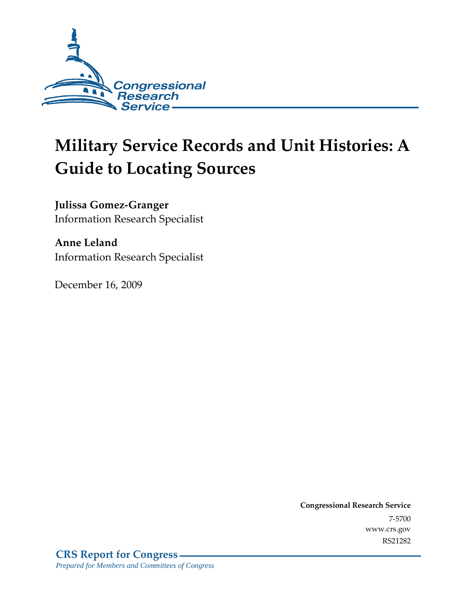

# **Military Service Records and Unit Histories: A Guide to Locating Sources**

**Julissa Gomez-Granger**  Information Research Specialist

**Anne Leland**  Information Research Specialist

December 16, 2009

**Congressional Research Service** 7-5700 www.crs.gov RS21282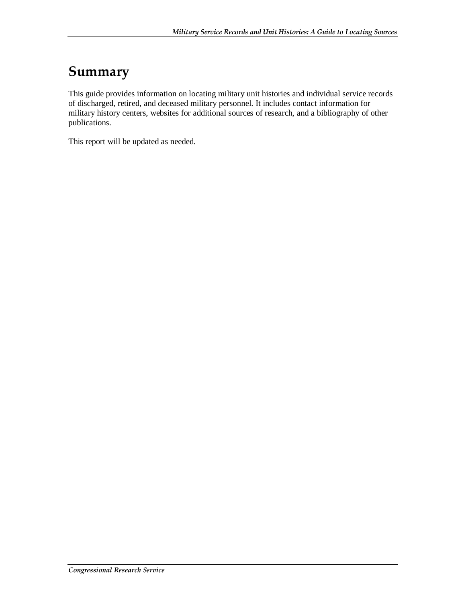## **Summary**

This guide provides information on locating military unit histories and individual service records of discharged, retired, and deceased military personnel. It includes contact information for military history centers, websites for additional sources of research, and a bibliography of other publications.

This report will be updated as needed.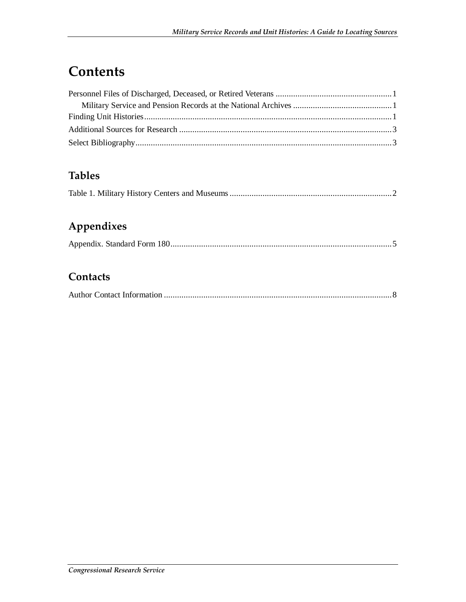# **Contents**

### **Tables**

|--|--|--|--|

## **Appendixes**

|--|--|--|--|

### **Contacts**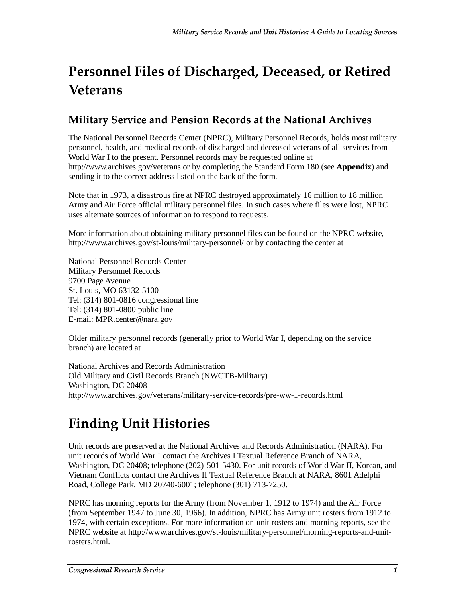# **Personnel Files of Discharged, Deceased, or Retired Veterans**

### **Military Service and Pension Records at the National Archives**

The National Personnel Records Center (NPRC), Military Personnel Records, holds most military personnel, health, and medical records of discharged and deceased veterans of all services from World War I to the present. Personnel records may be requested online at http://www.archives.gov/veterans or by completing the Standard Form 180 (see **Appendix**) and sending it to the correct address listed on the back of the form.

Note that in 1973, a disastrous fire at NPRC destroyed approximately 16 million to 18 million Army and Air Force official military personnel files. In such cases where files were lost, NPRC uses alternate sources of information to respond to requests.

More information about obtaining military personnel files can be found on the NPRC website, http://www.archives.gov/st-louis/military-personnel/ or by contacting the center at

National Personnel Records Center Military Personnel Records 9700 Page Avenue St. Louis, MO 63132-5100 Tel: (314) 801-0816 congressional line Tel: (314) 801-0800 public line E-mail: MPR.center@nara.gov

Older military personnel records (generally prior to World War I, depending on the service branch) are located at

National Archives and Records Administration Old Military and Civil Records Branch (NWCTB-Military) Washington, DC 20408 http://www.archives.gov/veterans/military-service-records/pre-ww-1-records.html

# **Finding Unit Histories**

Unit records are preserved at the National Archives and Records Administration (NARA). For unit records of World War I contact the Archives I Textual Reference Branch of NARA, Washington, DC 20408; telephone (202)-501-5430. For unit records of World War II, Korean, and Vietnam Conflicts contact the Archives II Textual Reference Branch at NARA, 8601 Adelphi Road, College Park, MD 20740-6001; telephone (301) 713-7250.

NPRC has morning reports for the Army (from November 1, 1912 to 1974) and the Air Force (from September 1947 to June 30, 1966). In addition, NPRC has Army unit rosters from 1912 to 1974, with certain exceptions. For more information on unit rosters and morning reports, see the NPRC website at http://www.archives.gov/st-louis/military-personnel/morning-reports-and-unitrosters.html.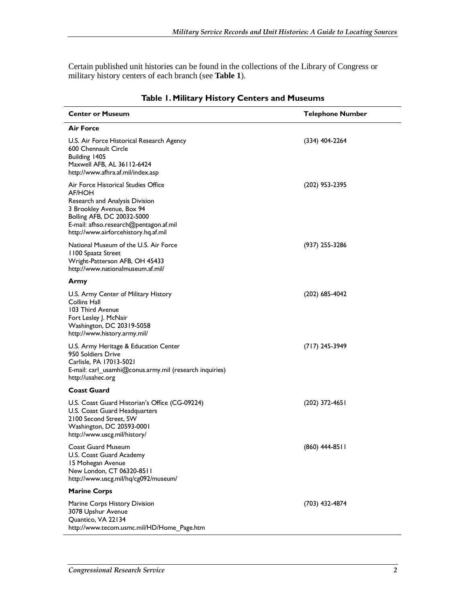Certain published unit histories can be found in the collections of the Library of Congress or military history centers of each branch (see **Table 1**).

| <b>Center or Museum</b>                                                                                                                                                                                                      | <b>Telephone Number</b> |
|------------------------------------------------------------------------------------------------------------------------------------------------------------------------------------------------------------------------------|-------------------------|
| <b>Air Force</b>                                                                                                                                                                                                             |                         |
| U.S. Air Force Historical Research Agency<br>600 Chennault Circle<br>Building 1405<br>Maxwell AFB, AL 36112-6424<br>http://www.afhra.af.mil/index.asp                                                                        | $(334)$ 404-2264        |
| Air Force Historical Studies Office<br>AF/HOH<br>Research and Analysis Division<br>3 Brookley Avenue, Box 94<br>Bolling AFB, DC 20032-5000<br>E-mail: afhso.research@pentagon.af.mil<br>http://www.airforcehistory.hq.af.mil | (202) 953-2395          |
| National Museum of the U.S. Air Force<br>1100 Spaatz Street<br>Wright-Patterson AFB, OH 45433<br>http://www.nationalmuseum.af.mil/                                                                                           | (937) 255-3286          |
| Army                                                                                                                                                                                                                         |                         |
| U.S. Army Center of Military History<br>Collins Hall<br>103 Third Avenue<br>Fort Lesley J. McNair<br>Washington, DC 20319-5058<br>http://www.history.army.mil/                                                               | (202) 685-4042          |
| U.S. Army Heritage & Education Center<br>950 Soldiers Drive<br>Carlisle, PA 17013-5021<br>E-mail: carl_usamhi@conus.army.mil (research inquiries)<br>http://usahec.org                                                       | $(717)$ 245-3949        |
| <b>Coast Guard</b>                                                                                                                                                                                                           |                         |
| U.S. Coast Guard Historian's Office (CG-09224)<br>U.S. Coast Guard Headquarters<br>2100 Second Street, SW<br>Washington, DC 20593-0001<br>http://www.uscg.mil/history/                                                       | (202) 372-4651          |
| Coast Guard Museum<br>U.S. Coast Guard Academy<br>15 Mohegan Avenue<br>New London, CT 06320-8511<br>http://www.uscg.mil/hq/cg092/museum/                                                                                     | (860) 444-8511          |
| <b>Marine Corps</b>                                                                                                                                                                                                          |                         |
| Marine Corps History Division<br>3078 Upshur Avenue<br>Quantico, VA 22134<br>http://www.tecom.usmc.mil/HD/Home_Page.htm                                                                                                      | (703) 432-4874          |

### **Table 1. Military History Centers and Museums**

l,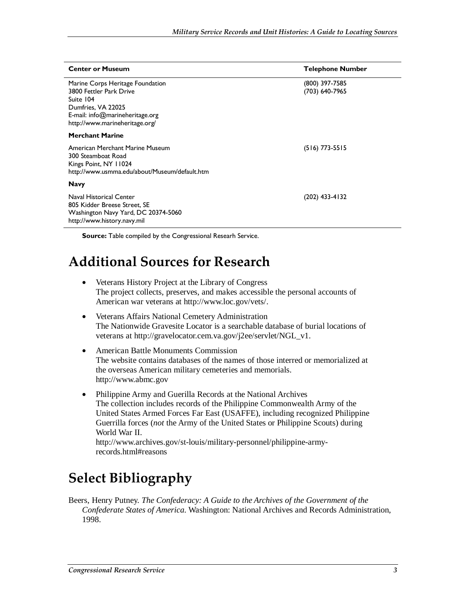| <b>Center or Museum</b>                                                                                                                                             | <b>Telephone Number</b>          |
|---------------------------------------------------------------------------------------------------------------------------------------------------------------------|----------------------------------|
| Marine Corps Heritage Foundation<br>3800 Fettler Park Drive<br>Suite 104<br>Dumfries, VA 22025<br>E-mail: info@marineheritage.org<br>http://www.marineheritage.org/ | (800) 397-7585<br>(703) 640-7965 |
| <b>Merchant Marine</b>                                                                                                                                              |                                  |
| American Merchant Marine Museum<br>300 Steamboat Road<br>Kings Point, NY 11024<br>http://www.usmma.edu/about/Museum/default.htm                                     | $(516)$ 773-5515                 |
| <b>Navy</b>                                                                                                                                                         |                                  |
| Naval Historical Center<br>805 Kidder Breese Street, SE<br>Washington Navy Yard, DC 20374-5060<br>http://www.history.navy.mil                                       | (202) 433-4132                   |

**Source:** Table compiled by the Congressional Researh Service.

## **Additional Sources for Research**

- Veterans History Project at the Library of Congress The project collects, preserves, and makes accessible the personal accounts of American war veterans at http://www.loc.gov/vets/.
- Veterans Affairs National Cemetery Administration The Nationwide Gravesite Locator is a searchable database of burial locations of veterans at http://gravelocator.cem.va.gov/j2ee/servlet/NGL\_v1.
- American Battle Monuments Commission The website contains databases of the names of those interred or memorialized at the overseas American military cemeteries and memorials. http://www.abmc.gov
- Philippine Army and Guerilla Records at the National Archives The collection includes records of the Philippine Commonwealth Army of the United States Armed Forces Far East (USAFFE), including recognized Philippine Guerrilla forces (*not* the Army of the United States or Philippine Scouts) during World War II. http://www.archives.gov/st-louis/military-personnel/philippine-armyrecords.html#reasons

# **Select Bibliography**

Beers, Henry Putney. *The Confederacy: A Guide to the Archives of the Government of the Confederate States of America*. Washington: National Archives and Records Administration, 1998.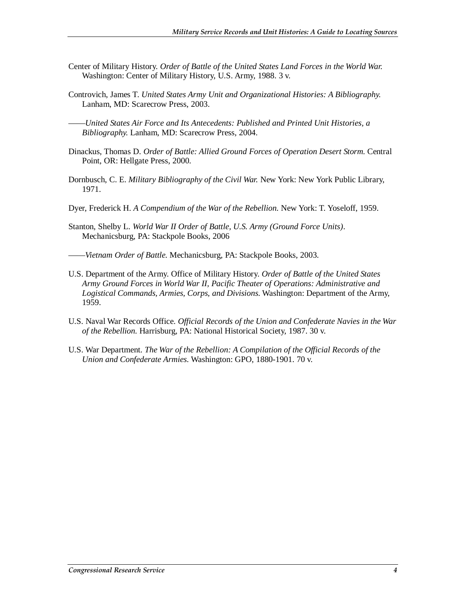- Center of Military History. *Order of Battle of the United States Land Forces in the World War.* Washington: Center of Military History, U.S. Army, 1988. 3 v.
- Controvich, James T. *United States Army Unit and Organizational Histories: A Bibliography.*  Lanham, MD: Scarecrow Press, 2003.
- ——*United States Air Force and Its Antecedents: Published and Printed Unit Histories, a Bibliography.* Lanham, MD: Scarecrow Press, 2004.
- Dinackus, Thomas D. Order of Battle: Allied Ground Forces of Operation Desert Storm. Central Point, OR: Hellgate Press, 2000.
- Dornbusch, C. E. *Military Bibliography of the Civil War.* New York: New York Public Library, 1971.
- Dyer, Frederick H. *A Compendium of the War of the Rebellion.* New York: T. Yoseloff, 1959.
- Stanton, Shelby L. *World War II Order of Battle, U.S. Army (Ground Force Units)*. Mechanicsburg, PA: Stackpole Books, 2006
- ——*Vietnam Order of Battle.* Mechanicsburg, PA: Stackpole Books, 2003.
- U.S. Department of the Army. Office of Military History. *Order of Battle of the United States Army Ground Forces in World War II, Pacific Theater of Operations: Administrative and Logistical Commands, Armies, Corps, and Divisions.* Washington: Department of the Army, 1959.
- U.S. Naval War Records Office. *Official Records of the Union and Confederate Navies in the War of the Rebellion.* Harrisburg, PA: National Historical Society, 1987. 30 v.
- U.S. War Department. *The War of the Rebellion: A Compilation of the Official Records of the Union and Confederate Armies.* Washington: GPO, 1880-1901. 70 v.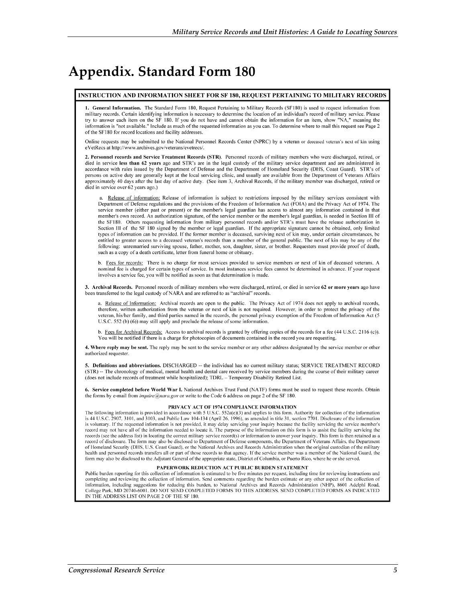## **Appendix. Standard Form 180**

### INSTRUCTION AND INFORMATION SHEET FOR SF 180, REQUEST PERTAINING TO MILITARY RECORDS

1. General Information. The Standard Form 180, Request Pertaining to Military Records (SF180) is used to request information from military records. Certain identifying information is necessary to determine the location of an individual's record of military service. Please try to answer each item on the SF 180. If you do not have and cannot obtain the information for an item, show "NA," meaning the information is "not available." Include as much of the requested information as you can. To determine where to mail this request see Page 2 of the SF180 for record locations and facility addresses

Online requests may be submitted to the National Personnel Records Center (NPRC) by a veteran or deceased veteran's next of kin using eVetRecs at http://www.archives.gov/veterans/evetrecs/

2. Personnel records and Service Treatment Records (STR). Personnel records of military members who were discharged, retired, or died in service less than 62 vears ago and STR's are in the legal custody of the military service department and are administered in accordance with rules issued by the Department of Defense and the Department of Homeland Security (DHS, Coast Guard). STR's of persons on active duty are generally kept at the local servicing clinic, and usually are available from the Department of Veterans Affairs approximately 40 days after the last day of active duty. (See item 3, Archival Records, if the military member was discharged, retired or died in service over 62 years ago.)

a. Release of information: Release of information is subject to restrictions imposed by the military services consistent with Department of Defense regulations and the provisions of the Freedom of Information Act (FOIA) and the Privacy Act of 1974. The service member (either past or present) or the member's legal guardian has access to almost any information contained in that member's own record. An authorization signature, of the service member or the member's legal guardian, is needed in Section III of the SF180. Others requesting information from military personnel records and/or STR's must have the release authorization in Section III of the SF 180 signed by the member or legal guardian. If the appropriate signature cannot be obtained, only limited types of information can be provided. If the former member is deceased, surviving next of kin may, under certain circumstances, be entitled to greater access to a deceased veteran's records than a member of the general public. The next of kin may be any of the following: unremarried surviving spouse, father, mother, son, daughter, sister, or brother. Requesters must provide proof of death, such as a copy of a death certificate, letter from funeral home or obituary

b. Fees for records: There is no charge for most services provided to service members or next of kin of deceased veterans. A nominal fee is charged for certain types of service. In most instances service fees cannot be determined in advance. If your request involves a service fee, you will be notified as soon as that determination is made.

3. Archival Records. Personnel records of military members who were discharged, retired, or died in service 62 or more years ago have been transferred to the legal custody of NARA and are referred to as "archival" records.

a. Release of Information: Archival records are open to the public. The Privacy Act of 1974 does not apply to archival records, therefore, written authorization from the veteran or next of kin is not required. However, in order to protect the privacy of the veteran, his/her family, and third parties named in the records, the personal privacy exemption of the Freedom of Information Act (5 U.S.C. 552 (b) (6)) may still apply and preclude the release of some information.

b. Fees for Archival Records: Access to archival records is granted by offering copies of the records for a fee (44 U.S.C. 2116 (c)). You will be notified if there is a charge for photocopies of documents contained in the record you are requesting.

4. Where reply may be sent. The reply may be sent to the service member or any other address designated by the service member or other authorized requester

5. Definitions and abbreviations. DISCHARGED -- the individual has no current military status; SERVICE TREATMENT RECORD (STR) -- The chronology of medical, mental health and dental care received by service members during the course of their military career (does not include records of treatment while hospitalized); TDRL - Temporary Disability Retired List.

6. Service completed before World War I. National Archives Trust Fund (NATF) forms must be used to request these records. Obtain the forms by e-mail from *inquire@nara.gov* or write to the Code 6 address on page 2 of the SF 180.

#### PRIVACY ACT OF 1974 COMPLIANCE INFORMATION

The following information is provided in accordance with 5 U.S.C. 552a(e)(3) and applies to this form. Authority for collection of the information is 44 U.S.C. 2907, 3101, and 3103, and Public Law 104-134 (April 26, 1996), as amended in title 31, section 7701. Disclosure of the information is voluntary. If the requested information is not provided, it may delay servicing your inquiry because the facility servicing the service member's record may not have all of the information needed to locate it. The purpose of the information on this form is to assist the facility servicing the records (see the address list) in locating the correct military service record(s) or information to answer your inquiry. This form is then retained as a record of disclosure. The form may also be disclosed to Department of Defense components, the Department of Veterans Affairs, the Department of Homeland Security (DHS, U.S. Coast Guard), or the National Archives and Records Administration when the original custodian of the military health and personnel records transfers all or part of those records to that agency. If the service member was a member of the National Guard, the form may also be disclosed to the Adjutant General of the appropriate state, District of Columbia, or Puerto Rico, where he or she served.

### PAPERWORK REDUCTION ACT PUBLIC BURDEN STATEMENT

Public burden reporting for this collection of information is estimated to be five minutes per request, including time for reviewing instructions and completing and reviewing the collection of information. Send comments regarding the burden estimate or any other aspect of the collection of information, including suggestions for reducing this burden, to National Archives and Records Administration (NHP), 8601 Adelphi Road, College Park, MD 20740-6001. DO NOT SEND COMPLETED FORMS TO THIS ADDRESS. SEND COMPLETED FORMS AS INDICATED IN THE ADDRESS LIST ON PAGE 2 OF THE SF 180.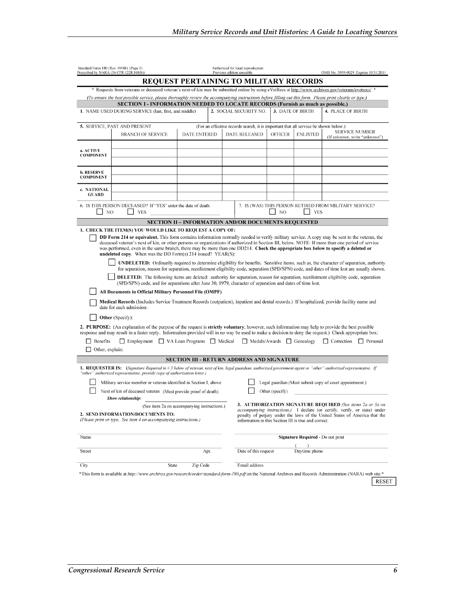|                                           | * Requests from veterans or deceased veteran's next-of-kin may be submitted online by using eVetRecs at http://www.archives.gov/veterans/evetrecs/<br>(To ensure the best possible service, please thoroughly review the accompanying instructions before filling out this form. Please print clearly or type.)<br>1. NAME USED DURING SERVICE (last, first, and middle)<br>5. SERVICE, PAST AND PRESENT                                                                                                                                                                                                                                                                                                                                                                                                       | <b>REQUEST PERTAINING TO MILITARY RECORDS</b>              | 2. SOCIAL SECURITY NO.                                                              |                  |                                   |                                                                                                                                                                                                                                                                                                                                                                                                                                                                                           |  |  |  |  |  |  |  |
|-------------------------------------------|----------------------------------------------------------------------------------------------------------------------------------------------------------------------------------------------------------------------------------------------------------------------------------------------------------------------------------------------------------------------------------------------------------------------------------------------------------------------------------------------------------------------------------------------------------------------------------------------------------------------------------------------------------------------------------------------------------------------------------------------------------------------------------------------------------------|------------------------------------------------------------|-------------------------------------------------------------------------------------|------------------|-----------------------------------|-------------------------------------------------------------------------------------------------------------------------------------------------------------------------------------------------------------------------------------------------------------------------------------------------------------------------------------------------------------------------------------------------------------------------------------------------------------------------------------------|--|--|--|--|--|--|--|
|                                           |                                                                                                                                                                                                                                                                                                                                                                                                                                                                                                                                                                                                                                                                                                                                                                                                                |                                                            |                                                                                     |                  |                                   |                                                                                                                                                                                                                                                                                                                                                                                                                                                                                           |  |  |  |  |  |  |  |
|                                           |                                                                                                                                                                                                                                                                                                                                                                                                                                                                                                                                                                                                                                                                                                                                                                                                                |                                                            |                                                                                     |                  |                                   |                                                                                                                                                                                                                                                                                                                                                                                                                                                                                           |  |  |  |  |  |  |  |
|                                           |                                                                                                                                                                                                                                                                                                                                                                                                                                                                                                                                                                                                                                                                                                                                                                                                                |                                                            |                                                                                     |                  |                                   |                                                                                                                                                                                                                                                                                                                                                                                                                                                                                           |  |  |  |  |  |  |  |
|                                           |                                                                                                                                                                                                                                                                                                                                                                                                                                                                                                                                                                                                                                                                                                                                                                                                                |                                                            |                                                                                     |                  |                                   | <b>SECTION I - INFORMATION NEEDED TO LOCATE RECORDS (Furnish as much as possible.)</b>                                                                                                                                                                                                                                                                                                                                                                                                    |  |  |  |  |  |  |  |
|                                           |                                                                                                                                                                                                                                                                                                                                                                                                                                                                                                                                                                                                                                                                                                                                                                                                                |                                                            |                                                                                     | 3. DATE OF BIRTH |                                   | 4. PLACE OF BIRTH                                                                                                                                                                                                                                                                                                                                                                                                                                                                         |  |  |  |  |  |  |  |
|                                           |                                                                                                                                                                                                                                                                                                                                                                                                                                                                                                                                                                                                                                                                                                                                                                                                                |                                                            | (For an effective records search, it is important that all service be shown below.) |                  |                                   |                                                                                                                                                                                                                                                                                                                                                                                                                                                                                           |  |  |  |  |  |  |  |
|                                           | <b>BRANCH OF SERVICE</b>                                                                                                                                                                                                                                                                                                                                                                                                                                                                                                                                                                                                                                                                                                                                                                                       | <b>DATE ENTERED</b>                                        | <b>DATE RELEASED</b>                                                                | <b>OFFICER</b>   | <b>ENLISTED</b>                   | <b>SERVICE NUMBER</b><br>(If unknown, write "unknown")                                                                                                                                                                                                                                                                                                                                                                                                                                    |  |  |  |  |  |  |  |
|                                           |                                                                                                                                                                                                                                                                                                                                                                                                                                                                                                                                                                                                                                                                                                                                                                                                                |                                                            |                                                                                     |                  |                                   |                                                                                                                                                                                                                                                                                                                                                                                                                                                                                           |  |  |  |  |  |  |  |
| a. ACTIVE<br><b>COMPONENT</b>             |                                                                                                                                                                                                                                                                                                                                                                                                                                                                                                                                                                                                                                                                                                                                                                                                                |                                                            |                                                                                     |                  |                                   |                                                                                                                                                                                                                                                                                                                                                                                                                                                                                           |  |  |  |  |  |  |  |
| b. RESERVE<br><b>COMPONENT</b>            |                                                                                                                                                                                                                                                                                                                                                                                                                                                                                                                                                                                                                                                                                                                                                                                                                |                                                            |                                                                                     |                  |                                   |                                                                                                                                                                                                                                                                                                                                                                                                                                                                                           |  |  |  |  |  |  |  |
| c. NATIONAL<br><b>GUARD</b>               |                                                                                                                                                                                                                                                                                                                                                                                                                                                                                                                                                                                                                                                                                                                                                                                                                |                                                            |                                                                                     |                  |                                   |                                                                                                                                                                                                                                                                                                                                                                                                                                                                                           |  |  |  |  |  |  |  |
| N <sub>O</sub>                            | 6. IS THIS PERSON DECEASED? If "YES" enter the date of death.<br><b>YES</b>                                                                                                                                                                                                                                                                                                                                                                                                                                                                                                                                                                                                                                                                                                                                    |                                                            |                                                                                     | NO               | <b>YES</b>                        | 7. IS (WAS) THIS PERSON RETIRED FROM MILITARY SERVICE?                                                                                                                                                                                                                                                                                                                                                                                                                                    |  |  |  |  |  |  |  |
|                                           |                                                                                                                                                                                                                                                                                                                                                                                                                                                                                                                                                                                                                                                                                                                                                                                                                | <b>SECTION II - INFORMATION AND/OR DOCUMENTS REQUESTED</b> |                                                                                     |                  |                                   |                                                                                                                                                                                                                                                                                                                                                                                                                                                                                           |  |  |  |  |  |  |  |
| $\Box$ Benefits<br>$\Box$ Other, explain: | <b>undeleted copy.</b> When was the DD Form $(s)$ 214 issued? YEAR $(S)$ :<br>(SPD/SPN) code, and for separations after June 30, 1979, character of separation and dates of time lost.<br>All Documents in Official Military Personnel File (OMPF)<br>Medical Records (Includes Service Treatment Records (outpatient), inpatient and dental records.) If hospitalized, provide facility name and<br>date for each admission:<br>Other (Specify):<br>2. PURPOSE: (An explanation of the purpose of the request is <b>strictly voluntary</b> ; however, such information may help to provide the best possible<br>response and may result in a faster reply. Information provided will in no way be used to make a decision to deny the request.) Check appropriate box:<br>Employment VA Loan Programs Medical |                                                            |                                                                                     |                  |                                   | <b>UNDELETED:</b> Ordinarily required to determine eligibility for benefits. Sensitive items, such as, the character of separation, authority<br>for separation, reason for separation, reenlistment eligibility code, separation (SPD/SPN) code, and dates of time lost are usually shown.<br><b>DELETED:</b> The following items are deleted: authority for separation, reason for separation, reenlistment eligibility code, separation<br>Medals/Awards Genealogy Correction Personal |  |  |  |  |  |  |  |
|                                           |                                                                                                                                                                                                                                                                                                                                                                                                                                                                                                                                                                                                                                                                                                                                                                                                                | <b>SECTION III - RETURN ADDRESS AND SIGNATURE</b>          |                                                                                     |                  |                                   |                                                                                                                                                                                                                                                                                                                                                                                                                                                                                           |  |  |  |  |  |  |  |
|                                           | 1. REQUESTER IS: (Signature Required in # 3 below of veteran, next of kin, legal guardian, authorized government agent or "other" authorized representative. If<br>"other" authorized representative, provide copy of authorization letter.)<br>Military service member or veteran identified in Section I, above<br>Next of kin of deceased veteran (Must provide proof of death).<br>Show relationship:                                                                                                                                                                                                                                                                                                                                                                                                      |                                                            |                                                                                     | Other (specify)  |                                   | Legal guardian (Must submit copy of court appointment.)                                                                                                                                                                                                                                                                                                                                                                                                                                   |  |  |  |  |  |  |  |
|                                           |                                                                                                                                                                                                                                                                                                                                                                                                                                                                                                                                                                                                                                                                                                                                                                                                                |                                                            |                                                                                     |                  |                                   | 3. AUTHORIZATION SIGNATURE REQUIRED (See items 2a or 3a on<br><i>accompanying instructions.</i> ) I declare (or certify, verify, or state) under                                                                                                                                                                                                                                                                                                                                          |  |  |  |  |  |  |  |
|                                           | (See item 2a on accompanying instructions.)<br>2. SEND INFORMATION/DOCUMENTS TO:<br>(Please print or type. See item 4 on accompanying instructions.)                                                                                                                                                                                                                                                                                                                                                                                                                                                                                                                                                                                                                                                           |                                                            | information in this Section III is true and correct.                                |                  |                                   |                                                                                                                                                                                                                                                                                                                                                                                                                                                                                           |  |  |  |  |  |  |  |
| Name                                      |                                                                                                                                                                                                                                                                                                                                                                                                                                                                                                                                                                                                                                                                                                                                                                                                                |                                                            |                                                                                     |                  | Signature Required - Do not print |                                                                                                                                                                                                                                                                                                                                                                                                                                                                                           |  |  |  |  |  |  |  |
| Street                                    |                                                                                                                                                                                                                                                                                                                                                                                                                                                                                                                                                                                                                                                                                                                                                                                                                | Apt.                                                       | Date of this request                                                                |                  | Daytime phone                     | penalty of perjury under the laws of the United States of America that the                                                                                                                                                                                                                                                                                                                                                                                                                |  |  |  |  |  |  |  |

RESET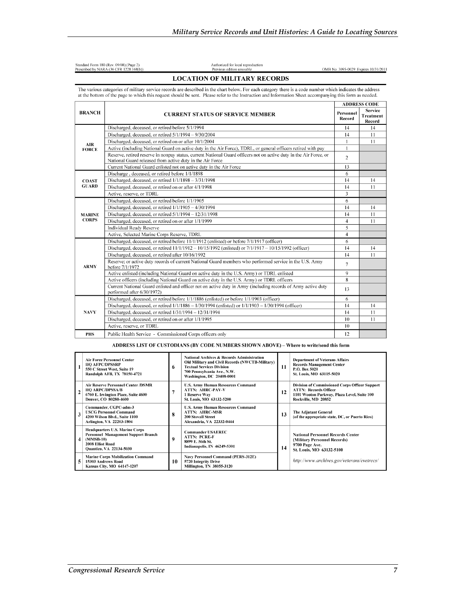|               | The various categories of military service records are described in the chart below. For each category there is a code number which indicates the address<br>at the bottom of the page to which this request should be sent. Please refer to the Instruction and Information Sheet accompanying this form as needed. |                     |                                       |  |  |
|---------------|----------------------------------------------------------------------------------------------------------------------------------------------------------------------------------------------------------------------------------------------------------------------------------------------------------------------|---------------------|---------------------------------------|--|--|
|               |                                                                                                                                                                                                                                                                                                                      |                     |                                       |  |  |
| <b>BRANCH</b> | <b>CURRENT STATUS OF SERVICE MEMBER</b>                                                                                                                                                                                                                                                                              | Personnel<br>Record | <b>Service</b><br>Treatment<br>Record |  |  |
|               | Discharged, deceased, or retired before 5/1/1994                                                                                                                                                                                                                                                                     | 14                  | 14                                    |  |  |
|               | Discharged, deceased, or retired $5/1/1994 - 9/30/2004$                                                                                                                                                                                                                                                              | 14                  | 11                                    |  |  |
| <b>AIR</b>    | Discharged, deceased, or retired on or after 10/1/2004                                                                                                                                                                                                                                                               | $\mathbf{1}$        | 11                                    |  |  |
| <b>FORCE</b>  | Active (including National Guard on active duty in the Air Force), TDRL, or general officers retired with pay                                                                                                                                                                                                        | $\mathbf{1}$        |                                       |  |  |
|               | Reserve, retired reserve in nonpay status, current National Guard officers not on active duty in the Air Force, or<br>National Guard released from active duty in the Air Force                                                                                                                                      | $\overline{2}$      |                                       |  |  |
|               | Current National Guard enlisted not on active duty in the Air Force                                                                                                                                                                                                                                                  | 13                  |                                       |  |  |
|               | Discharge, deceased, or retired before 1/1/1898                                                                                                                                                                                                                                                                      | 6                   |                                       |  |  |
| <b>COAST</b>  | Discharged, deceased, or retired $1/1/1898 - 3/31/1998$                                                                                                                                                                                                                                                              | 14                  | 14                                    |  |  |
| <b>GUARD</b>  | Discharged, deceased, or retired on or after 4/1/1998                                                                                                                                                                                                                                                                | 14                  | 11                                    |  |  |
|               | Active, reserve, or TDRL                                                                                                                                                                                                                                                                                             | 3                   |                                       |  |  |
|               | Discharged, deceased, or retired before 1/1/1905                                                                                                                                                                                                                                                                     | 6                   |                                       |  |  |
|               | Discharged, deceased, or retired 1/1/1905 - 4/30/1994                                                                                                                                                                                                                                                                | 14                  | 14                                    |  |  |
| <b>MARINE</b> | Discharged, deceased, or retired 5/1/1994 - 12/31/1998                                                                                                                                                                                                                                                               | 14                  | 11                                    |  |  |
| <b>CORPS</b>  | Discharged, deceased, or retired on or after 1/1/1999                                                                                                                                                                                                                                                                | $\overline{4}$      | 11                                    |  |  |
|               | <b>Individual Ready Reserve</b>                                                                                                                                                                                                                                                                                      | 5                   |                                       |  |  |
|               | Active, Selected Marine Corps Reserve, TDRL                                                                                                                                                                                                                                                                          | $\overline{4}$      |                                       |  |  |
|               | Discharged, deceased, or retired before 11/1/1912 (enlisted) or before 7/1/1917 (officer)                                                                                                                                                                                                                            | 6                   |                                       |  |  |
|               | Discharged, deceased, or retired 11/1/1912 – 10/15/1992 (enlisted) or 7/1/1917 – 10/15/1992 (officer)                                                                                                                                                                                                                | 14                  | 14                                    |  |  |
|               | Discharged, deceased, or retired after 10/16/1992                                                                                                                                                                                                                                                                    | 14                  | 11                                    |  |  |
| <b>ARMY</b>   | Reserve; or active duty records of current National Guard members who performed service in the U.S. Army<br>before 7/1/1972                                                                                                                                                                                          | $\tau$              |                                       |  |  |
|               | Active enlisted (including National Guard on active duty in the U.S. Army) or TDRL enlisted                                                                                                                                                                                                                          | 9                   |                                       |  |  |
|               | Active officers (including National Guard on active duty in the U.S. Army) or TDRL officers                                                                                                                                                                                                                          | 8                   |                                       |  |  |
|               | Current National Guard enlisted and officer not on active duty in Army (including records of Army active duty<br>performed after 6/30/1972)                                                                                                                                                                          | 13                  |                                       |  |  |
|               | Discharged, deceased, or retired before 1/1/1886 (enlisted) or before 1/1/1903 (officer)                                                                                                                                                                                                                             | 6                   |                                       |  |  |
|               | Discharged, deceased, or retired 1/1/1886 - 1/30/1994 (enlisted) or 1/1/1903 - 1/30/1994 (officer)                                                                                                                                                                                                                   | 14                  | 14                                    |  |  |
| NAVY          | Discharged, deceased, or retired 1/31/1994 - 12/31/1994                                                                                                                                                                                                                                                              | 14                  | 11                                    |  |  |
|               | Discharged, deceased, or retired on or after 1/1/1995                                                                                                                                                                                                                                                                | 10                  | 11                                    |  |  |
|               | Active, reserve, or TDRL                                                                                                                                                                                                                                                                                             | 10                  |                                       |  |  |
| <b>PHS</b>    | Public Health Service - Commissioned Corps officers only                                                                                                                                                                                                                                                             | 12                  |                                       |  |  |

### ADDRESS LIST OF CUSTODIANS (BY CODE NUMBERS SHOWN ABOVE) - Where to write/send this form

|                | <b>Air Force Personnel Center</b><br><b>HQ AFPC/DPSSRP</b><br>550 C Street West, Suite 19<br>Randolph AFB, TX 78150-4721                                                                                                                                     | 6  | National Archives & Records Administration<br>Old Military and Civil Records (NWCTB-Military)<br><b>Textual Services Division</b><br>700 Pennsylvania Ave., N.W.<br>Washington, DC 20408-0001 | 11                                                                                                                                                          | <b>Department of Veterans Affairs</b><br><b>Records Management Center</b><br>P.O. Box 5020<br>St. Louis, MO 63115-5020 |
|----------------|--------------------------------------------------------------------------------------------------------------------------------------------------------------------------------------------------------------------------------------------------------------|----|-----------------------------------------------------------------------------------------------------------------------------------------------------------------------------------------------|-------------------------------------------------------------------------------------------------------------------------------------------------------------|------------------------------------------------------------------------------------------------------------------------|
| $\overline{2}$ | <b>Air Reserve Personnel Center /DSMR</b><br><b>U.S. Army Human Resources Command</b><br><b>ATTN: AHRC-PAV-V</b><br><b>HO ARPC/DPSSA/B</b><br>7<br>6760 E. Irvington Place, Suite 4600<br>1 Reserve Way<br>St. Louis, MO 63132-5200<br>Denver, CO 80280-4600 |    | 12                                                                                                                                                                                            | <b>Division of Commissioned Corps Officer Support</b><br><b>ATTN: Records Officer</b><br>1101 Wooton Parkway, Plaza Level, Suite 100<br>Rockville, MD 20852 |                                                                                                                        |
| 3              | Commander, CGPC-adm-3<br><b>USCG Personnel Command</b><br>4200 Wilson Blvd., Suite 1100<br>Arlington, VA 22203-1804                                                                                                                                          | 8  | <b>U.S. Army Human Resources Command</b><br><b>ATTN: AHRC-MSR</b><br><b>200 Stovall Street</b><br>Alexandria, VA 22332-0444                                                                   | 13                                                                                                                                                          | <b>The Adjutant General</b><br>(of the appropriate state, DC, or Puerto Rico)                                          |
| 4              | <b>Headquarters U.S. Marine Corps</b><br>Personnel Management Support Branch<br>$(MMSB-10)$<br>2008 Elliot Road<br><b>Quantico, VA 22134-5030</b>                                                                                                            | 9  | <b>Commander USAEREC</b><br><b>ATTN: PCRE-F</b><br>8899 E. 56th St.<br>Indianapolis, IN 46249-5301                                                                                            | 14                                                                                                                                                          | <b>National Personnel Records Center</b><br>(Military Personnel Records)<br>9700 Page Ave.<br>St. Louis, MO 63132-5100 |
| 5              | <b>Marine Corps Mobilization Command</b><br>15303 Andrews Road<br>Kansas City, MO 64147-1207                                                                                                                                                                 | 10 | <b>Navy Personnel Command (PERS-312E)</b><br>5720 Integrity Drive<br>Millington, TN 38055-3120                                                                                                |                                                                                                                                                             | http://www.archives.gov/veterans/evetrecs/                                                                             |

Authorized for local reproduction<br>Previous edition unusable **LOCATION OF MILITARY RECORDS** 

Standard Form 180 (Rev. 09/08) (Page 2)<br>Prescribed by NARA (36 CFR 1228.168(b))

OMB No. 3095-0029 Expires 10/31/2011